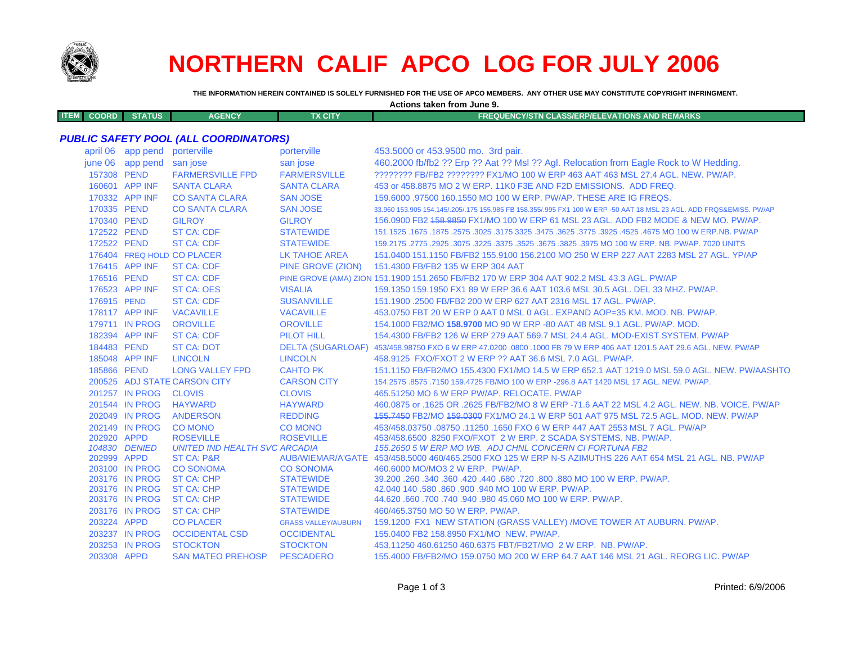

# **NORTHERN CALIF APCO LOG FOR JULY 2006**

**THE INFORMATION HEREIN CONTAINED IS SOLELY FURNISHED FOR THE USE OF APCO MEMBERS. ANY OTHER USE MAY CONSTITUTE COPYRIGHT INFRINGMENT.**

|             |       |               |               |          | Actions taken from June 9.                                 |
|-------------|-------|---------------|---------------|----------|------------------------------------------------------------|
| <b>ITEM</b> | COORD | <b>STATUS</b> | <b>AGENCY</b> | TX CITY' | <b>EQUENCY/STN CLASS/ERP/ELEVATIONS AND REMARKS</b><br>FRE |
|             |       |               |               |          |                                                            |

# *PUBLIC SAFETY POOL (ALL COORDINATORS)*

| april 06    | app pend                         | porterville                           | porterville                          | 453,5000 or 453,9500 mo. 3rd pair.                                                                                  |
|-------------|----------------------------------|---------------------------------------|--------------------------------------|---------------------------------------------------------------------------------------------------------------------|
|             | june 06 app pend san jose        |                                       | san jose                             | 460.2000 fb/fb2 ?? Erp ?? Aat ?? Msl ?? Agl. Relocation from Eagle Rock to W Hedding.                               |
| 157308 PEND |                                  | <b>FARMERSVILLE FPD</b>               | <b>FARMERSVILLE</b>                  | ???????? FB/FB2 ???????? FX1/MO 100 W ERP 463 AAT 463 MSL 27.4 AGL. NEW. PW/AP.                                     |
|             | 160601 APP INF                   | <b>SANTA CLARA</b>                    | <b>SANTA CLARA</b>                   | 453 or 458,8875 MO 2 W ERP, 11K0 F3E AND F2D EMISSIONS. ADD FREQ.                                                   |
|             | 170332 APP INF                   | <b>CO SANTA CLARA</b>                 | <b>SAN JOSE</b>                      | 159,6000 .97500 160,1550 MO 100 W ERP, PW/AP, THESE ARE IG FREQS.                                                   |
| 170335 PEND |                                  | <b>CO SANTA CLARA</b>                 | <b>SAN JOSE</b>                      | 33,960 153,905 154,145/,205/,175 155,985 FB 158,355/,995 FX1 100 W ERP -50 AAT 18 MSL 23 AGL, ADD FRQS&EMISS, PW/AP |
| 170340 PEND |                                  | <b>GILROY</b>                         | <b>GILROY</b>                        | 156,0900 FB2 158,9850 FX1/MO 100 W ERP 61 MSL 23 AGL, ADD FB2 MODE & NEW MO, PW/AP.                                 |
| 172522 PEND |                                  | <b>ST CA: CDF</b>                     | <b>STATEWIDE</b>                     | 151.1525 .1675 .1675 .3025 .3475 .3625 .3775 .3625 .3625 .3625 .3475 .325. 2575 .1675 .1675 .1675 .1675 .1679       |
| 172522 PEND |                                  | <b>ST CA: CDF</b>                     | <b>STATEWIDE</b>                     | 159.2175 .2775 .2925 .3075 .3225 .3375 .3525 .3675 .3825 .3975 MO 100 W ERP. NB. PW/AP. 7020 UNITS                  |
|             |                                  | 176404 FREQ HOLD CO PLACER            | LK TAHOE AREA                        | 151,0400-151,1150 FB/FB2 155,9100 156,2100 MO 250 W ERP 227 AAT 2283 MSL 27 AGL, YP/AP                              |
|             | 176415 APP INF                   | <b>ST CA: CDF</b>                     | <b>PINE GROVE (ZION)</b>             | 151.4300 FB/FB2 135 W ERP 304 AAT                                                                                   |
| 176516 PEND |                                  | <b>ST CA: CDF</b>                     |                                      | PINE GROVE (AMA) ZION 151.1900 151.2650 FB/FB2 170 W ERP 304 AAT 902.2 MSL 43.3 AGL. PW/AP                          |
|             | 176523 APP INF                   | <b>ST CA: OES</b>                     | <b>VISALIA</b>                       | 159.1350 159.1950 FX1 89 W ERP 36.6 AAT 103.6 MSL 30.5 AGL. DEL 33 MHZ. PW/AP.                                      |
| 176915 PEND |                                  | <b>ST CA: CDF</b>                     | <b>SUSANVILLE</b>                    | 151.1900 .2500 FB/FB2 200 W ERP 627 AAT 2316 MSL 17 AGL, PW/AP.                                                     |
|             | 178117 APP INF                   | <b>VACAVILLE</b>                      | <b>VACAVILLE</b>                     | 453.0750 FBT 20 W ERP 0 AAT 0 MSL 0 AGL. EXPAND AOP=35 KM, MOD, NB, PW/AP.                                          |
|             | 179711 IN PROG                   | <b>OROVILLE</b>                       | <b>OROVILLE</b>                      | 154.1000 FB2/MO 158.9700 MO 90 W ERP -80 AAT 48 MSL 9.1 AGL, PW/AP, MOD,                                            |
|             | 182394 APP INF                   | <b>ST CA: CDF</b>                     | <b>PILOT HILL</b>                    | 154.4300 FB/FB2 126 W ERP 279 AAT 569.7 MSL 24.4 AGL, MOD-EXIST SYSTEM, PW/AP                                       |
| 184483 PEND |                                  | <b>ST CA: DOT</b>                     |                                      | DELTA (SUGARLOAF) 453/458.98750 FXO 6 W ERP 47.0200 .0800 .1000 FB 79 W ERP 406 AAT 1201.5 AAT 29.6 AGL. NEW. PW/AP |
|             | 185048 APP INF                   | <b>LINCOLN</b>                        | <b>LINCOLN</b>                       | 458.9125 FXO/FXOT 2 W ERP ?? AAT 36.6 MSL 7.0 AGL, PW/AP.                                                           |
| 185866 PEND |                                  | <b>LONG VALLEY FPD</b>                | <b>CAHTO PK</b>                      | 151.1150 FB/FB2/MO 155.4300 FX1/MO 14.5 W ERP 652.1 AAT 1219.0 MSL 59.0 AGL. NEW. PW/AASHTO                         |
|             |                                  | 200525 ADJ STATE CARSON CITY          | <b>CARSON CITY</b>                   | 154,2575, 8575, 7150 159,4725 FB/MO 100 W ERP -296.8 AAT 1420 MSL 17 AGL, NEW, PW/AP,                               |
|             | 201257 IN PROG                   | <b>CLOVIS</b>                         | <b>CLOVIS</b>                        | 465.51250 MO 6 W ERP PW/AP, RELOCATE, PW/AP                                                                         |
|             | 201544 IN PROG                   | <b>HAYWARD</b>                        | <b>HAYWARD</b>                       | 460.0875 or .1625 OR .2625 FB/FB2/MO 8 W ERP -71.6 AAT 22 MSL 4.2 AGL. NEW. NB. VOICE. PW/AP                        |
|             | 202049 IN PROG                   | <b>ANDERSON</b>                       | <b>REDDING</b>                       | 155,7450 FB2/MO 159,0300 FX1/MO 24.1 W ERP 501 AAT 975 MSL 72.5 AGL, MOD, NEW, PW/AP                                |
|             | 202149 IN PROG                   | <b>CO MONO</b>                        | <b>CO MONO</b>                       | 453/458.03750 .08750 .11250 .1650 FXO 6 W ERP 447 AAT 2553 MSL 7 AGL. PW/AP                                         |
| 202920 APPD |                                  | <b>ROSEVILLE</b>                      | <b>ROSEVILLE</b>                     | 453/458,6500,8250 FXO/FXOT 2 W ERP, 2 SCADA SYSTEMS, NB, PW/AP.                                                     |
|             | 104830 DENIED                    | <b>UNITED IND HEALTH SVC ARCADIA</b>  |                                      | 155.2650 5 W ERP MO WB. ADJ CHNL CONCERN CI FORTUNA FB2                                                             |
| 202999 APPD |                                  | <b>ST CA: P&amp;R</b>                 |                                      | AUB/WIEMAR/A'GATE 453/458.5000 460/465.2500 FXO 125 W ERP N-S AZIMUTHS 226 AAT 654 MSL 21 AGL. NB. PW/AP            |
|             | 203100 IN PROG<br>203176 IN PROG | <b>CO SONOMA</b><br><b>ST CA: CHP</b> | <b>CO SONOMA</b><br><b>STATEWIDE</b> | 460,6000 MO/MO3 2 W ERP. PW/AP.<br>39,200,260,340,360,420,440,680,720,800,880,MO 100 W ERP, PW/AP.                  |
|             | 203176 IN PROG                   | <b>ST CA: CHP</b>                     | <b>STATEWIDE</b>                     | 42.040 140 .580 .860 .900 .940 MO 100 W ERP. PW/AP.                                                                 |
|             | 203176 IN PROG                   | <b>ST CA: CHP</b>                     | <b>STATEWIDE</b>                     | 44.620 .660 .700 .740 .940 .980 45.060 MO 100 W ERP. PW/AP.                                                         |
|             | 203176 IN PROG                   | <b>ST CA: CHP</b>                     | <b>STATEWIDE</b>                     | 460/465.3750 MO 50 W ERP. PW/AP.                                                                                    |
| 203224 APPD |                                  | <b>CO PLACER</b>                      | <b>GRASS VALLEY/AUBURN</b>           | 159.1200 FX1 NEW STATION (GRASS VALLEY) /MOVE TOWER AT AUBURN. PW/AP.                                               |
|             | 203237 IN PROG                   | <b>OCCIDENTAL CSD</b>                 | <b>OCCIDENTAL</b>                    | 155.0400 FB2 158.8950 FX1/MO NEW, PW/AP.                                                                            |
|             | 203253 IN PROG                   | <b>STOCKTON</b>                       | <b>STOCKTON</b>                      | 453.11250 460.61250 460.6375 FBT/FB2T/MO 2 W ERP. NB. PW/AP.                                                        |
| 203308 APPD |                                  | <b>SAN MATEO PREHOSP</b>              | <b>PESCADERO</b>                     | 155,4000 FB/FB2/MO 159,0750 MO 200 W ERP 64.7 AAT 146 MSL 21 AGL, REORG LIC, PW/AP                                  |
|             |                                  |                                       |                                      |                                                                                                                     |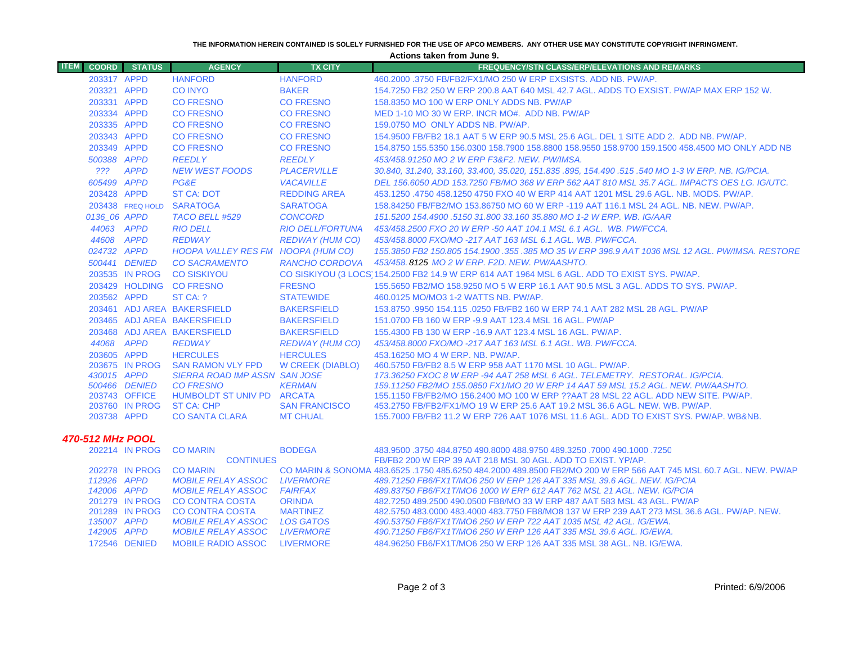#### **THE INFORMATION HEREIN CONTAINED IS SOLELY FURNISHED FOR THE USE OF APCO MEMBERS. ANY OTHER USE MAY CONSTITUTE COPYRIGHT INFRINGMENT.**

**Actions taken from June 9.**

| <b>ITEM</b><br><b>COORD</b> | <b>STATUS</b>                   | <b>AGENCY</b>                                   | <b>TX CITY</b>          | <b>FREQUENCY/STN CLASS/ERP/ELEVATIONS AND REMARKS</b>                                                                                                             |
|-----------------------------|---------------------------------|-------------------------------------------------|-------------------------|-------------------------------------------------------------------------------------------------------------------------------------------------------------------|
| 203317 APPD                 |                                 | <b>HANFORD</b>                                  | <b>HANFORD</b>          | 460,2000,3750 FB/FB2/FX1/MO 250 W ERP EXSISTS, ADD NB, PW/AP,                                                                                                     |
| 203321 APPD                 |                                 | <b>CO INYO</b>                                  | <b>BAKER</b>            | 154.7250 FB2 250 W ERP 200.8 AAT 640 MSL 42.7 AGL. ADDS TO EXSIST. PW/AP MAX ERP 152 W.                                                                           |
| 203331 APPD                 |                                 | <b>CO FRESNO</b>                                | <b>CO FRESNO</b>        | 158,8350 MO 100 W ERP ONLY ADDS NB, PW/AP                                                                                                                         |
| 203334 APPD                 |                                 | <b>CO FRESNO</b>                                | <b>CO FRESNO</b>        | MED 1-10 MO 30 W ERP. INCR MO#. ADD NB. PW/AP                                                                                                                     |
| 203335 APPD                 |                                 | <b>CO FRESNO</b>                                | <b>CO FRESNO</b>        | 159.0750 MO ONLY ADDS NB. PW/AP.                                                                                                                                  |
| 203343 APPD                 |                                 | <b>CO FRESNO</b>                                | <b>CO FRESNO</b>        | 154,9500 FB/FB2 18.1 AAT 5 W ERP 90.5 MSL 25.6 AGL, DEL 1 SITE ADD 2. ADD NB, PW/AP.                                                                              |
| 203349 APPD                 |                                 | <b>CO FRESNO</b>                                | <b>CO FRESNO</b>        | 154,8750 155,5350 156,0300 158,7900 158,8800 158,9550 158,9700 159,1500 458,4500 MO ONLY ADD NB                                                                   |
| 500388 APPD                 |                                 | <b>REEDLY</b>                                   | <b>REEDLY</b>           | 453/458.91250 MO 2 W ERP F3&F2, NEW, PW/IMSA,                                                                                                                     |
| ???                         | <b>APPD</b>                     | <b>NEW WEST FOODS</b>                           | <b>PLACERVILLE</b>      | 30.840, 31.240, 33.160, 33.400, 35.020, 151.835 .895, 154.490 .515 .540 MO 1-3 W ERP. NB. IG/PCIA.                                                                |
| 605499 APPD                 |                                 | PG&E                                            | <b>VACAVILLE</b>        | DEL 156,6050 ADD 153,7250 FB/MO 368 W ERP 562 AAT 810 MSL 35.7 AGL. IMPACTS OES LG. IG/UTC.                                                                       |
| 203428 APPD                 |                                 | <b>ST CA: DOT</b>                               | <b>REDDING AREA</b>     | 453.1250 .4750 458.1250 4750 FXO 40 W ERP 414 AAT 1201 MSL 29.6 AGL. NB. MODS. PW/AP.                                                                             |
|                             | 203438 FREQ HOLD                | <b>SARATOGA</b>                                 | <b>SARATOGA</b>         | 158.84250 FB/FB2/MO 153.86750 MO 60 W ERP -119 AAT 116.1 MSL 24 AGL, NB, NEW, PW/AP,                                                                              |
| 0136 06 APPD                |                                 | TACO BELL #529                                  | <b>CONCORD</b>          | 151.5200 154.4900 .5150 31.800 33.160 35.880 MO 1-2 W ERP, WB, IG/AAR                                                                                             |
|                             | 44063 APPD                      | <b>RIO DELL</b>                                 | <b>RIO DELL/FORTUNA</b> | 453/458.2500 FXO 20 W ERP -50 AAT 104.1 MSL 6.1 AGL. WB. PW/FCCA.                                                                                                 |
|                             | 44608 APPD                      | <b>REDWAY</b>                                   | <b>REDWAY (HUM CO)</b>  | 453/458.8000 FXO/MO -217 AAT 163 MSL 6.1 AGL. WB. PW/FCCA.                                                                                                        |
| 024732 APPD                 |                                 | HOOPA VALLEY RES FM HOOPA (HUM CO)              |                         | 155.3850 FB2 150.805 154.1900 .355 .385 MO 35 W ERP 396.9 AAT 1036 MSL 12 AGL. PW/IMSA, RESTORE                                                                   |
|                             | 500441 DENIED                   | <b>CO SACRAMENTO</b>                            | RANCHO CORDOVA          | 453/458, 8125 MO 2 W ERP, F2D, NEW, PW/AASHTO,                                                                                                                    |
|                             | 203535 IN PROG                  | <b>CO SISKIYOU</b>                              |                         | CO SISKIYOU (3 LOCS) 154.2500 FB2 14.9 W ERP 614 AAT 1964 MSL 6 AGL. ADD TO EXIST SYS. PW/AP.                                                                     |
|                             |                                 | 203429 HOLDING CO FRESNO                        | <b>FRESNO</b>           | 155,5650 FB2/MO 158,9250 MO 5 W ERP 16.1 AAT 90.5 MSL 3 AGL. ADDS TO SYS, PW/AP.                                                                                  |
| 203562 APPD                 |                                 | ST CA: ?                                        | <b>STATEWIDE</b>        | 460.0125 MO/MO3 1-2 WATTS NB, PW/AP,                                                                                                                              |
|                             |                                 | 203461 ADJ AREA BAKERSFIELD                     | <b>BAKERSFIELD</b>      | 153,8750,9950 154,115,0250 FB/FB2 160 W ERP 74,1 AAT 282 MSL 28 AGL, PW/AP                                                                                        |
|                             |                                 | 203465 ADJ AREA BAKERSFIELD                     | <b>BAKERSFIELD</b>      | 151.0700 FB 160 W ERP -9.9 AAT 123.4 MSL 16 AGL, PW/AP                                                                                                            |
|                             |                                 | 203468 ADJ AREA BAKERSFIELD                     | <b>BAKERSFIELD</b>      | 155.4300 FB 130 W ERP -16.9 AAT 123.4 MSL 16 AGL, PW/AP.                                                                                                          |
|                             | 44068 APPD                      | <b>REDWAY</b>                                   | <b>REDWAY (HUM CO)</b>  | 453/458.8000 FXO/MO -217 AAT 163 MSL 6.1 AGL, WB, PW/FCCA,                                                                                                        |
| 203605 APPD                 |                                 | <b>HERCULES</b>                                 | <b>HERCULES</b>         | 453.16250 MO 4 W ERP, NB, PW/AP.                                                                                                                                  |
|                             | 203675 IN PROG                  | <b>SAN RAMON VLY FPD</b>                        | W CREEK (DIABLO)        | 460.5750 FB/FB2 8.5 W ERP 958 AAT 1170 MSL 10 AGL, PW/AP.                                                                                                         |
| 430015 APPD                 |                                 | <b>SIERRA ROAD IMP ASSN SAN JOSE</b>            |                         | 173.36250 FXOC 8 W ERP -94 AAT 258 MSL 6 AGL. TELEMETRY. RESTORAL. IG/PCIA.                                                                                       |
|                             | 500466 DENIED                   | <b>CO FRESNO</b>                                | <b>KERMAN</b>           | 159.11250 FB2/MO 155.0850 FX1/MO 20 W ERP 14 AAT 59 MSL 15.2 AGL, NEW, PW/AASHTO,                                                                                 |
|                             | 203743 OFFICE<br>203760 IN PROG | HUMBOLDT ST UNIV PD ARCATA<br><b>ST CA: CHP</b> | <b>SAN FRANCISCO</b>    | 155.1150 FB/FB2/MO 156.2400 MO 100 W ERP ??AAT 28 MSL 22 AGL. ADD NEW SITE, PW/AP,<br>453.2750 FB/FB2/FX1/MO 19 W ERP 25.6 AAT 19.2 MSL 36.6 AGL, NEW, WB, PW/AP, |
| 203738 APPD                 |                                 | <b>CO SANTA CLARA</b>                           | <b>MT CHUAL</b>         | 155,7000 FB/FB2 11.2 W ERP 726 AAT 1076 MSL 11.6 AGL, ADD TO EXIST SYS, PW/AP, WB&NB,                                                                             |
|                             |                                 |                                                 |                         |                                                                                                                                                                   |
| <b>470-512 MHz POOL</b>     |                                 |                                                 |                         |                                                                                                                                                                   |
|                             | 202214 IN PROG CO MARIN         |                                                 | <b>BODEGA</b>           | 483.9500 .3750 484.8750 490.8000 488.9750 489.3250 .7000 490.1000 .7250                                                                                           |

|             |                | <b>ZUZZT4 IN PRUG LU MARIN</b> | <b>BUDEGA</b>     | . 750 /. 750 /100 /100 /. 750 /250 /30 /30 /488 /750 /480 /30 /484 /50 /450 /50 /485.9 /30 /484.8 /               |
|-------------|----------------|--------------------------------|-------------------|-------------------------------------------------------------------------------------------------------------------|
|             |                | <b>CONTINUES</b>               |                   | FB/FB2 200 W ERP 39 AAT 218 MSL 30 AGL, ADD TO EXIST, YP/AP.                                                      |
|             | 202278 IN PROG | <b>CO MARIN</b>                |                   | CO MARIN & SONOMA 483,6525, 1750 485,6250 484,2000 489,8500 FB2/MO 200 W ERP 566 AAT 745 MSL 60.7 AGL, NEW, PW/AP |
| 112926 APPD |                | <i>MOBILE RELAY ASSOC</i>      | <i>LIVERMORE</i>  | 489.71250 FB6/FX1T/MO6 250 W ERP 126 AAT 335 MSL 39.6 AGL. NEW. IG/PCIA                                           |
| 142006 APPD |                | <i>MOBILE RELAY ASSOC</i>      | FAIRFAX           | 489.83750 FB6/FX1T/MO6 1000 W ERP 612 AAT 762 MSL 21 AGL. NEW. IG/PCIA                                            |
|             | 201279 IN PROG | CO CONTRA COSTA                | <b>ORINDA</b>     | 482.7250 489.2500 490.0500 FB8/MO 33 W ERP 487 AAT 583 MSL 43 AGL. PW/AP                                          |
|             | 201289 IN PROG | CO CONTRA COSTA                | <b>MARTINEZ</b>   | 482,5750 483,0000 483,4000 483,7750 FB8/MO8 137 W ERP 239 AAT 273 MSL 36.6 AGL, PW/AP, NEW,                       |
| 135007 APPD |                | <i>MOBILE RELAY ASSOC</i>      | LOS GATOS         | 490.53750 FB6/FX1T/MO6 250 W ERP 722 AAT 1035 MSL 42 AGL. IG/EWA.                                                 |
| 142905 APPD |                | <i>MOBILE RELAY ASSOC</i>      | <i>I IVERMORE</i> | 490.71250 FB6/FX1T/MO6 250 W ERP 126 AAT 335 MSL 39.6 AGL. IG/EWA.                                                |
|             | 172546 DENIED  | MOBILE RADIO ASSOC             | LIVERMORE         | 484.96250 FB6/FX1T/MO6 250 W ERP 126 AAT 335 MSL 38 AGL, NB, IG/EWA,                                              |